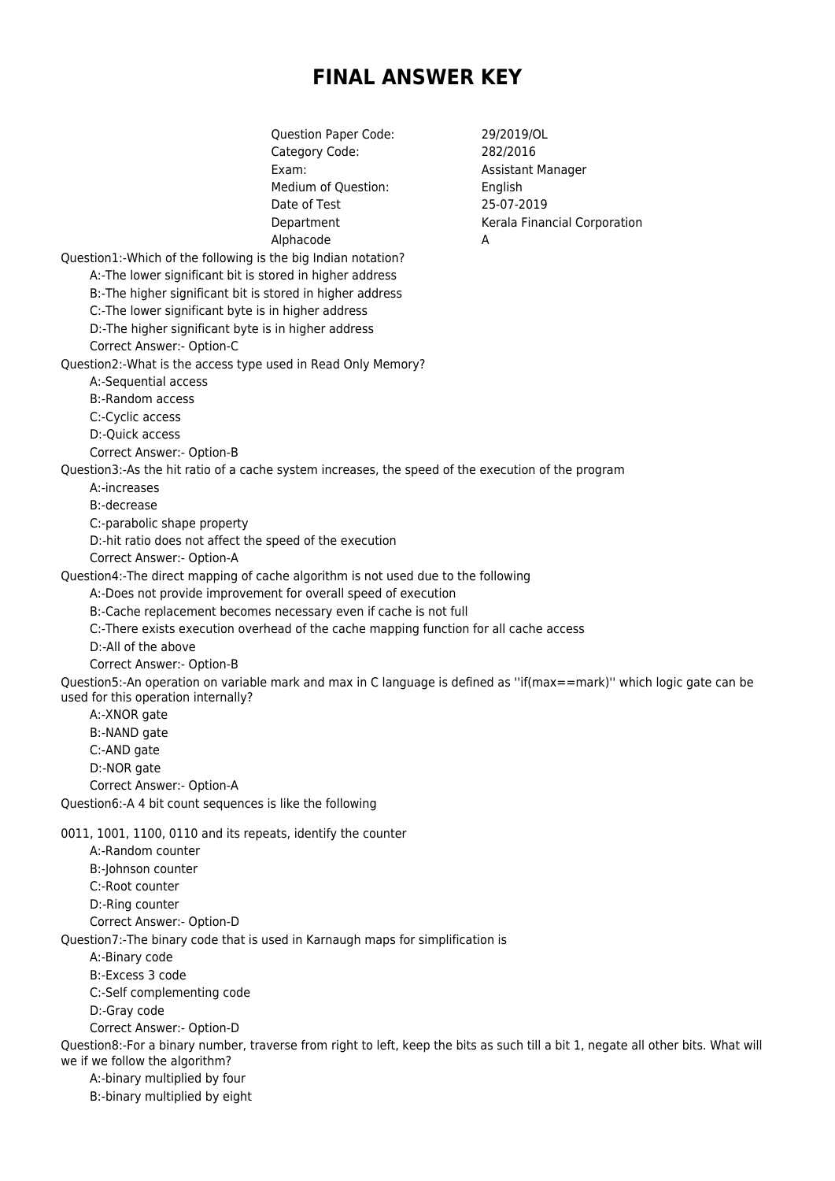## **FINAL ANSWER KEY**

Question Paper Code: 29/2019/OL Category Code: 282/2016 Exam: Basistant Manager Medium of Ouestion: English Date of Test 25-07-2019 Department Kerala Financial Corporation Alphacode A Question1:-Which of the following is the big Indian notation? A:-The lower significant bit is stored in higher address B:-The higher significant bit is stored in higher address C:-The lower significant byte is in higher address D:-The higher significant byte is in higher address Correct Answer:- Option-C Question2:-What is the access type used in Read Only Memory? A:-Sequential access B:-Random access C:-Cyclic access D:-Quick access Correct Answer:- Option-B Question3:-As the hit ratio of a cache system increases, the speed of the execution of the program A:-increases B:-decrease C:-parabolic shape property D:-hit ratio does not affect the speed of the execution Correct Answer:- Option-A Question4:-The direct mapping of cache algorithm is not used due to the following A:-Does not provide improvement for overall speed of execution B:-Cache replacement becomes necessary even if cache is not full C:-There exists execution overhead of the cache mapping function for all cache access D:-All of the above Correct Answer:- Option-B Question5:-An operation on variable mark and max in C language is defined as ''if(max==mark)'' which logic gate can be used for this operation internally? A:-XNOR gate B:-NAND gate C:-AND gate D:-NOR gate Correct Answer:- Option-A Question6:-A 4 bit count sequences is like the following 0011, 1001, 1100, 0110 and its repeats, identify the counter A:-Random counter B:-Johnson counter C:-Root counter D:-Ring counter Correct Answer:- Option-D Question7:-The binary code that is used in Karnaugh maps for simplification is A:-Binary code B:-Excess 3 code C:-Self complementing code D:-Gray code Correct Answer:- Option-D Question8:-For a binary number, traverse from right to left, keep the bits as such till a bit 1, negate all other bits. What will we if we follow the algorithm? A:-binary multiplied by four B:-binary multiplied by eight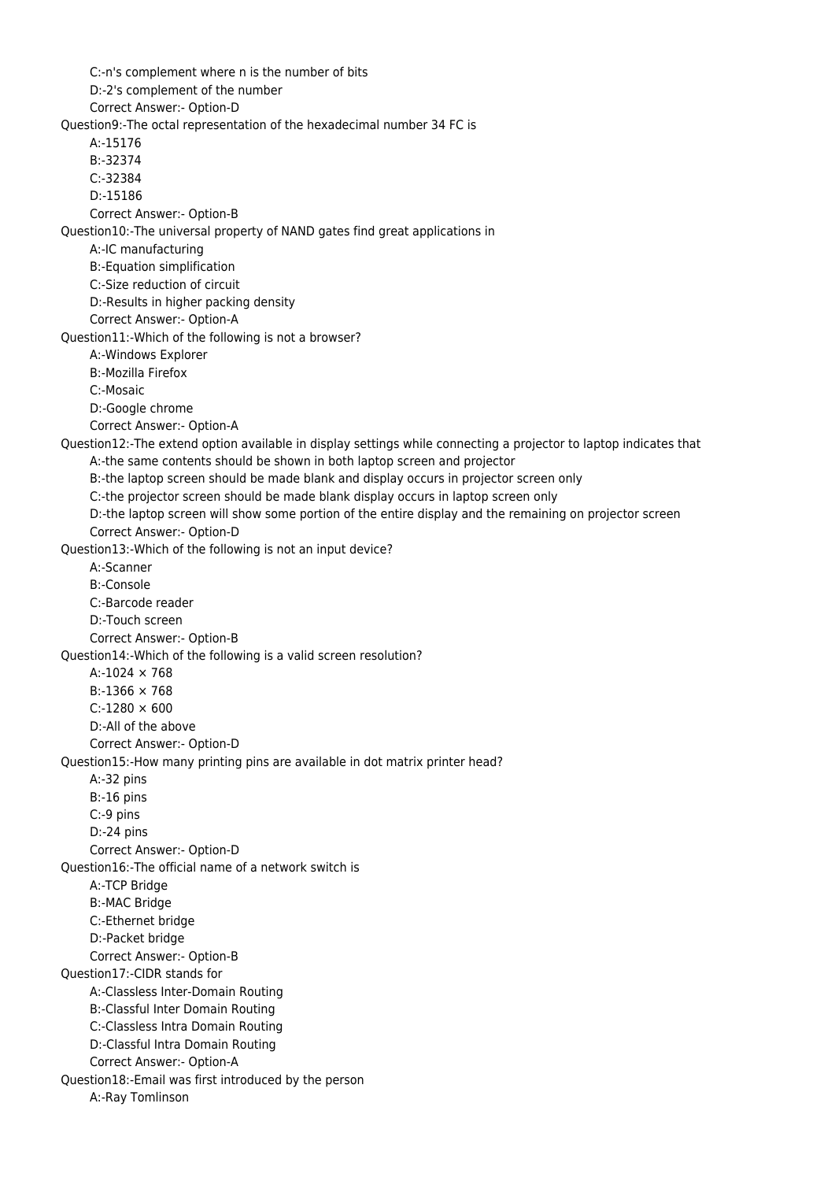C:-n's complement where n is the number of bits D:-2's complement of the number Correct Answer:- Option-D Question9:-The octal representation of the hexadecimal number 34 FC is A:-15176 B:-32374 C:-32384 D:-15186 Correct Answer:- Option-B Question10:-The universal property of NAND gates find great applications in A:-IC manufacturing B:-Equation simplification C:-Size reduction of circuit D:-Results in higher packing density Correct Answer:- Option-A Question11:-Which of the following is not a browser? A:-Windows Explorer B:-Mozilla Firefox C:-Mosaic D:-Google chrome Correct Answer:- Option-A Question12:-The extend option available in display settings while connecting a projector to laptop indicates that A:-the same contents should be shown in both laptop screen and projector B:-the laptop screen should be made blank and display occurs in projector screen only C:-the projector screen should be made blank display occurs in laptop screen only D:-the laptop screen will show some portion of the entire display and the remaining on projector screen Correct Answer:- Option-D Question13:-Which of the following is not an input device? A:-Scanner B:-Console C:-Barcode reader D:-Touch screen Correct Answer:- Option-B Question14:-Which of the following is a valid screen resolution? A:-1024 × 768  $B - 1366 \times 768$  $C: -1280 \times 600$  D:-All of the above Correct Answer:- Option-D Question15:-How many printing pins are available in dot matrix printer head? A:-32 pins B:-16 pins C:-9 pins D:-24 pins Correct Answer:- Option-D Question16:-The official name of a network switch is A:-TCP Bridge B:-MAC Bridge C:-Ethernet bridge D:-Packet bridge Correct Answer:- Option-B Question17:-CIDR stands for A:-Classless Inter-Domain Routing B:-Classful Inter Domain Routing C:-Classless Intra Domain Routing D:-Classful Intra Domain Routing Correct Answer:- Option-A Question18:-Email was first introduced by the person A:-Ray Tomlinson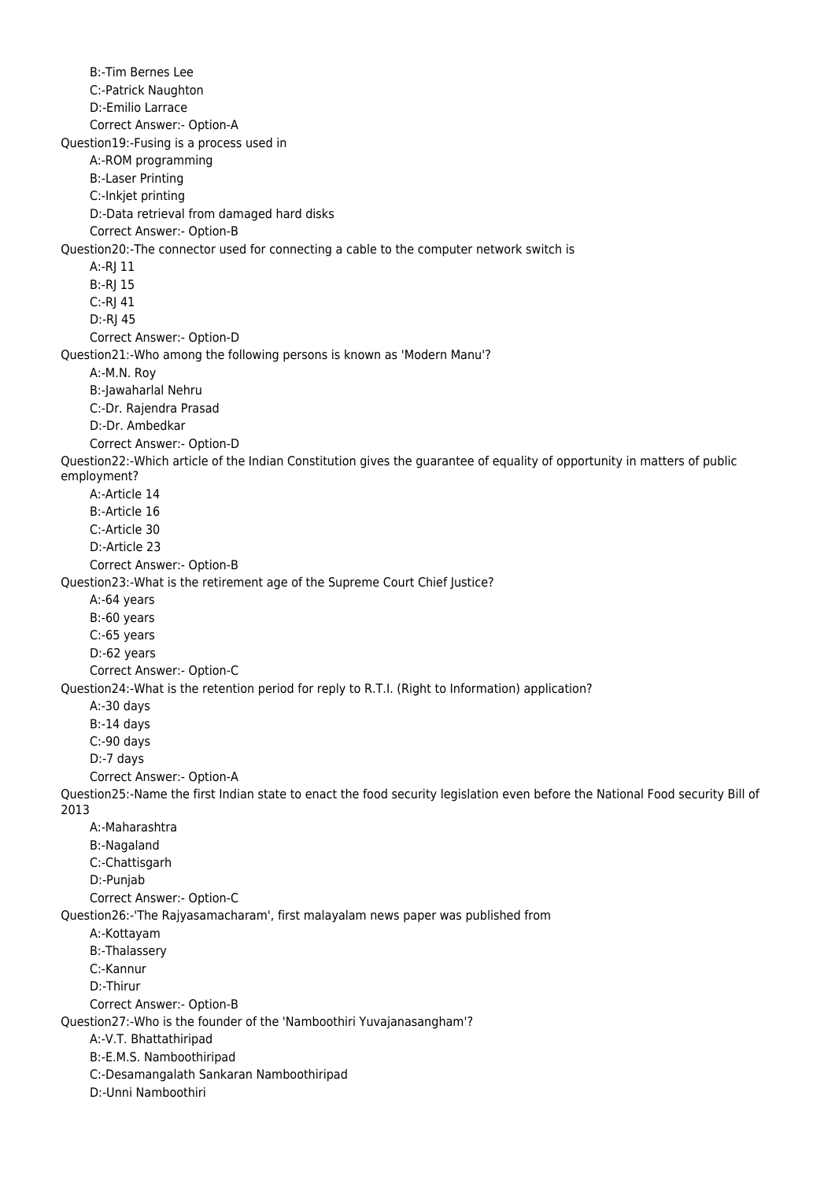B:-Tim Bernes Lee C:-Patrick Naughton D:-Emilio Larrace Correct Answer:- Option-A Question19:-Fusing is a process used in A:-ROM programming B:-Laser Printing C:-Inkjet printing D:-Data retrieval from damaged hard disks Correct Answer:- Option-B Question20:-The connector used for connecting a cable to the computer network switch is A:-RJ 11 B:-RJ 15 C:-RJ 41 D:-RJ 45 Correct Answer:- Option-D Question21:-Who among the following persons is known as 'Modern Manu'? A:-M.N. Roy B:-Jawaharlal Nehru C:-Dr. Rajendra Prasad D:-Dr. Ambedkar Correct Answer:- Option-D Question22:-Which article of the Indian Constitution gives the guarantee of equality of opportunity in matters of public employment? A:-Article 14 B:-Article 16 C:-Article 30 D:-Article 23 Correct Answer:- Option-B Question23:-What is the retirement age of the Supreme Court Chief Justice? A:-64 years B:-60 years C:-65 years D:-62 years Correct Answer:- Option-C Question24:-What is the retention period for reply to R.T.I. (Right to Information) application? A:-30 days B:-14 days C:-90 days D:-7 days Correct Answer:- Option-A Question25:-Name the first Indian state to enact the food security legislation even before the National Food security Bill of 2013 A:-Maharashtra B:-Nagaland C:-Chattisgarh D:-Punjab Correct Answer:- Option-C Question26:-'The Rajyasamacharam', first malayalam news paper was published from A:-Kottayam B:-Thalassery C:-Kannur D:-Thirur Correct Answer:- Option-B Question27:-Who is the founder of the 'Namboothiri Yuvajanasangham'? A:-V.T. Bhattathiripad B:-E.M.S. Namboothiripad C:-Desamangalath Sankaran Namboothiripad D:-Unni Namboothiri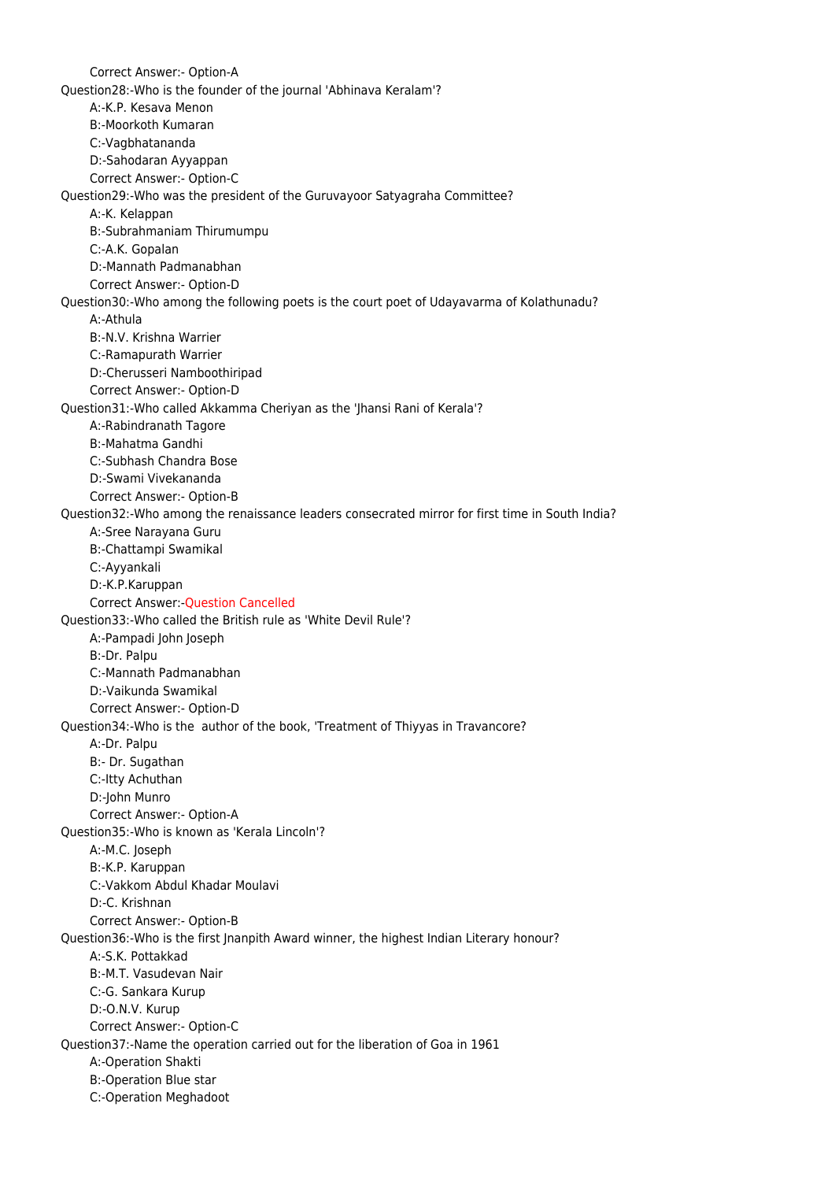Correct Answer:- Option-A Question28:-Who is the founder of the journal 'Abhinava Keralam'? A:-K.P. Kesava Menon B:-Moorkoth Kumaran C:-Vagbhatananda D:-Sahodaran Ayyappan Correct Answer:- Option-C Question29:-Who was the president of the Guruvayoor Satyagraha Committee? A:-K. Kelappan B:-Subrahmaniam Thirumumpu C:-A.K. Gopalan D:-Mannath Padmanabhan Correct Answer:- Option-D Question30:-Who among the following poets is the court poet of Udayavarma of Kolathunadu? A:-Athula B:-N.V. Krishna Warrier C:-Ramapurath Warrier D:-Cherusseri Namboothiripad Correct Answer:- Option-D Question31:-Who called Akkamma Cheriyan as the 'Jhansi Rani of Kerala'? A:-Rabindranath Tagore B:-Mahatma Gandhi C:-Subhash Chandra Bose D:-Swami Vivekananda Correct Answer:- Option-B Question32:-Who among the renaissance leaders consecrated mirror for first time in South India? A:-Sree Narayana Guru B:-Chattampi Swamikal C:-Ayyankali D:-K.P.Karuppan Correct Answer:-Question Cancelled Question33:-Who called the British rule as 'White Devil Rule'? A:-Pampadi John Joseph B:-Dr. Palpu C:-Mannath Padmanabhan D:-Vaikunda Swamikal Correct Answer:- Option-D Question34:-Who is the author of the book, 'Treatment of Thiyyas in Travancore? A:-Dr. Palpu B:- Dr. Sugathan C:-Itty Achuthan D:-John Munro Correct Answer:- Option-A Question35:-Who is known as 'Kerala Lincoln'? A:-M.C. Joseph B:-K.P. Karuppan C:-Vakkom Abdul Khadar Moulavi D:-C. Krishnan Correct Answer:- Option-B Question36:-Who is the first Jnanpith Award winner, the highest Indian Literary honour? A:-S.K. Pottakkad B:-M.T. Vasudevan Nair C:-G. Sankara Kurup D:-O.N.V. Kurup Correct Answer:- Option-C Question37:-Name the operation carried out for the liberation of Goa in 1961 A:-Operation Shakti B:-Operation Blue star C:-Operation Meghadoot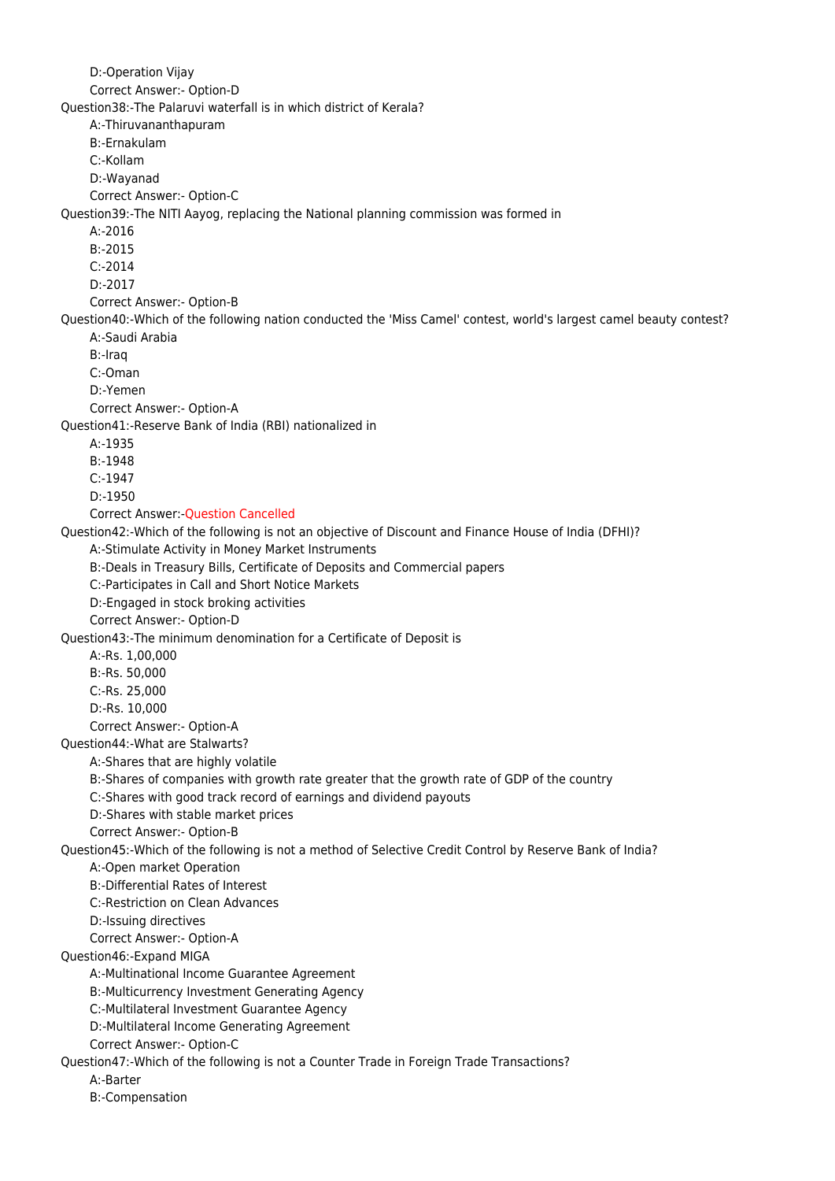D:-Operation Vijay Correct Answer:- Option-D Question38:-The Palaruvi waterfall is in which district of Kerala? A:-Thiruvananthapuram B:-Ernakulam C:-Kollam D:-Wayanad Correct Answer:- Option-C Question39:-The NITI Aayog, replacing the National planning commission was formed in A:-2016 B:-2015 C:-2014 D:-2017 Correct Answer:- Option-B Question40:-Which of the following nation conducted the 'Miss Camel' contest, world's largest camel beauty contest? A:-Saudi Arabia B:-Iraq C:-Oman D:-Yemen Correct Answer:- Option-A Question41:-Reserve Bank of India (RBI) nationalized in A:-1935 B:-1948 C:-1947 D:-1950 Correct Answer:-Question Cancelled Question42:-Which of the following is not an objective of Discount and Finance House of India (DFHI)? A:-Stimulate Activity in Money Market Instruments B:-Deals in Treasury Bills, Certificate of Deposits and Commercial papers C:-Participates in Call and Short Notice Markets D:-Engaged in stock broking activities Correct Answer:- Option-D Question43:-The minimum denomination for a Certificate of Deposit is A:-Rs. 1,00,000 B:-Rs. 50,000 C:-Rs. 25,000 D:-Rs. 10,000 Correct Answer:- Option-A Question44:-What are Stalwarts? A:-Shares that are highly volatile B:-Shares of companies with growth rate greater that the growth rate of GDP of the country C:-Shares with good track record of earnings and dividend payouts D:-Shares with stable market prices Correct Answer:- Option-B Question45:-Which of the following is not a method of Selective Credit Control by Reserve Bank of India? A:-Open market Operation B:-Differential Rates of Interest C:-Restriction on Clean Advances D:-Issuing directives Correct Answer:- Option-A Question46:-Expand MIGA A:-Multinational Income Guarantee Agreement B:-Multicurrency Investment Generating Agency C:-Multilateral Investment Guarantee Agency D:-Multilateral Income Generating Agreement Correct Answer:- Option-C Question47:-Which of the following is not a Counter Trade in Foreign Trade Transactions? A:-Barter B:-Compensation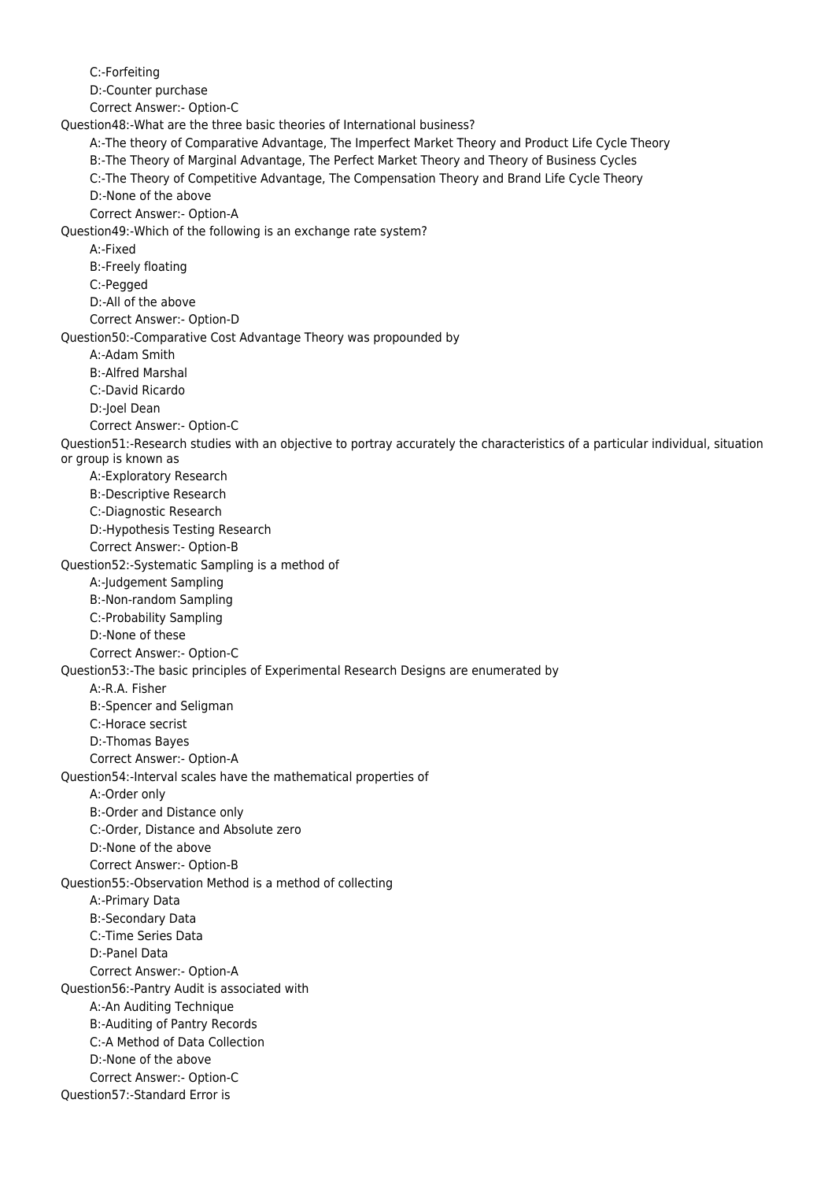C:-Forfeiting D:-Counter purchase Correct Answer:- Option-C Question48:-What are the three basic theories of International business? A:-The theory of Comparative Advantage, The Imperfect Market Theory and Product Life Cycle Theory B:-The Theory of Marginal Advantage, The Perfect Market Theory and Theory of Business Cycles C:-The Theory of Competitive Advantage, The Compensation Theory and Brand Life Cycle Theory D:-None of the above Correct Answer:- Option-A Question49:-Which of the following is an exchange rate system? A:-Fixed B:-Freely floating C:-Pegged D:-All of the above Correct Answer:- Option-D Question50:-Comparative Cost Advantage Theory was propounded by A:-Adam Smith B:-Alfred Marshal C:-David Ricardo D:-Joel Dean Correct Answer:- Option-C Question51:-Research studies with an objective to portray accurately the characteristics of a particular individual, situation or group is known as A:-Exploratory Research B:-Descriptive Research C:-Diagnostic Research D:-Hypothesis Testing Research Correct Answer:- Option-B Question52:-Systematic Sampling is a method of A:-Judgement Sampling B:-Non-random Sampling C:-Probability Sampling D:-None of these Correct Answer:- Option-C Question53:-The basic principles of Experimental Research Designs are enumerated by A:-R.A. Fisher B:-Spencer and Seligman C:-Horace secrist D:-Thomas Bayes Correct Answer:- Option-A Question54:-Interval scales have the mathematical properties of A:-Order only B:-Order and Distance only C:-Order, Distance and Absolute zero D:-None of the above Correct Answer:- Option-B Question55:-Observation Method is a method of collecting A:-Primary Data B:-Secondary Data C:-Time Series Data D:-Panel Data Correct Answer:- Option-A Question56:-Pantry Audit is associated with A:-An Auditing Technique B:-Auditing of Pantry Records C:-A Method of Data Collection D:-None of the above Correct Answer:- Option-C Question57:-Standard Error is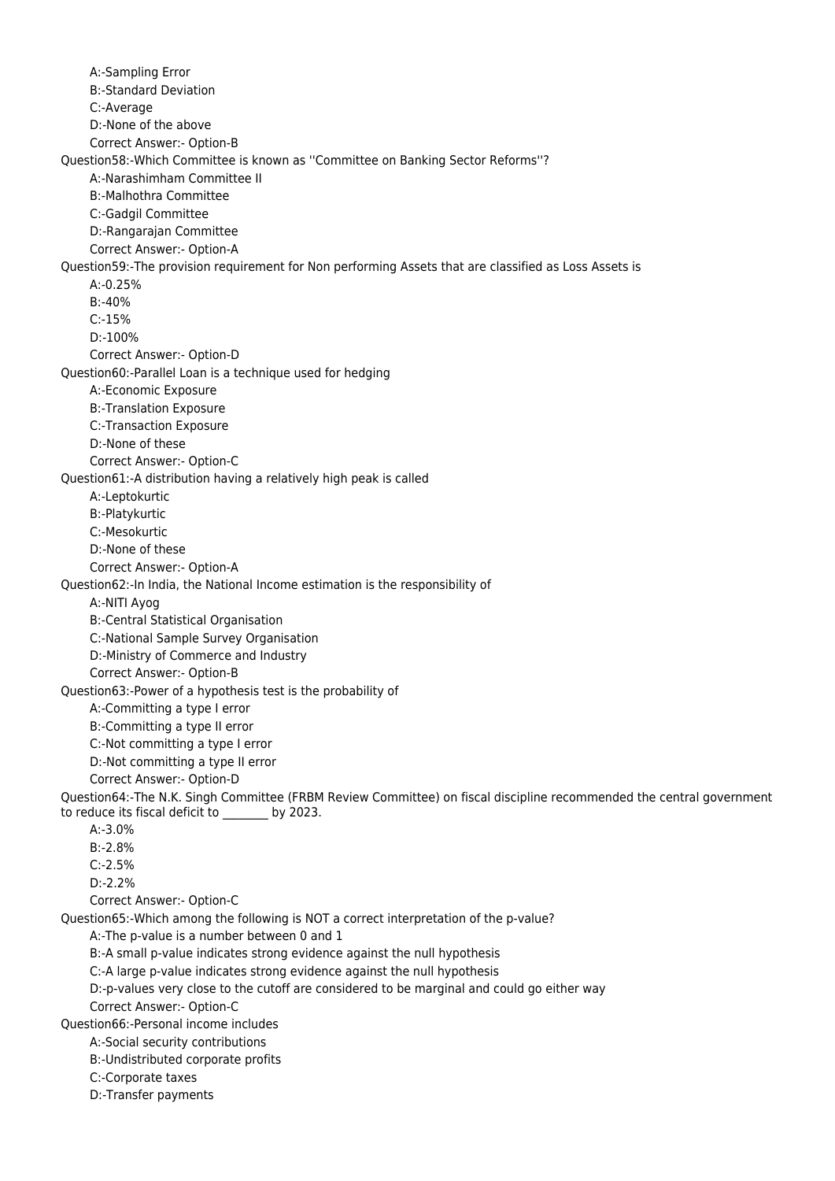A:-Sampling Error B:-Standard Deviation C:-Average D:-None of the above Correct Answer:- Option-B Question58:-Which Committee is known as ''Committee on Banking Sector Reforms''? A:-Narashimham Committee II B:-Malhothra Committee C:-Gadgil Committee D:-Rangarajan Committee Correct Answer:- Option-A Question59:-The provision requirement for Non performing Assets that are classified as Loss Assets is A:-0.25% B:-40% C:-15% D:-100% Correct Answer:- Option-D Question60:-Parallel Loan is a technique used for hedging A:-Economic Exposure B:-Translation Exposure C:-Transaction Exposure D:-None of these Correct Answer:- Option-C Question61:-A distribution having a relatively high peak is called A:-Leptokurtic B:-Platykurtic C:-Mesokurtic D:-None of these Correct Answer:- Option-A Question62:-In India, the National Income estimation is the responsibility of A:-NITI Ayog B:-Central Statistical Organisation C:-National Sample Survey Organisation D:-Ministry of Commerce and Industry Correct Answer:- Option-B Question63:-Power of a hypothesis test is the probability of A:-Committing a type I error B:-Committing a type II error C:-Not committing a type I error D:-Not committing a type II error Correct Answer:- Option-D Question64:-The N.K. Singh Committee (FRBM Review Committee) on fiscal discipline recommended the central government to reduce its fiscal deficit to \_\_\_\_\_\_\_\_ by 2023. A:-3.0% B:-2.8% C:-2.5% D:-2.2% Correct Answer:- Option-C Question65:-Which among the following is NOT a correct interpretation of the p-value? A:-The p-value is a number between 0 and 1 B:-A small p-value indicates strong evidence against the null hypothesis C:-A large p-value indicates strong evidence against the null hypothesis D:-p-values very close to the cutoff are considered to be marginal and could go either way Correct Answer:- Option-C Question66:-Personal income includes A:-Social security contributions B:-Undistributed corporate profits C:-Corporate taxes D:-Transfer payments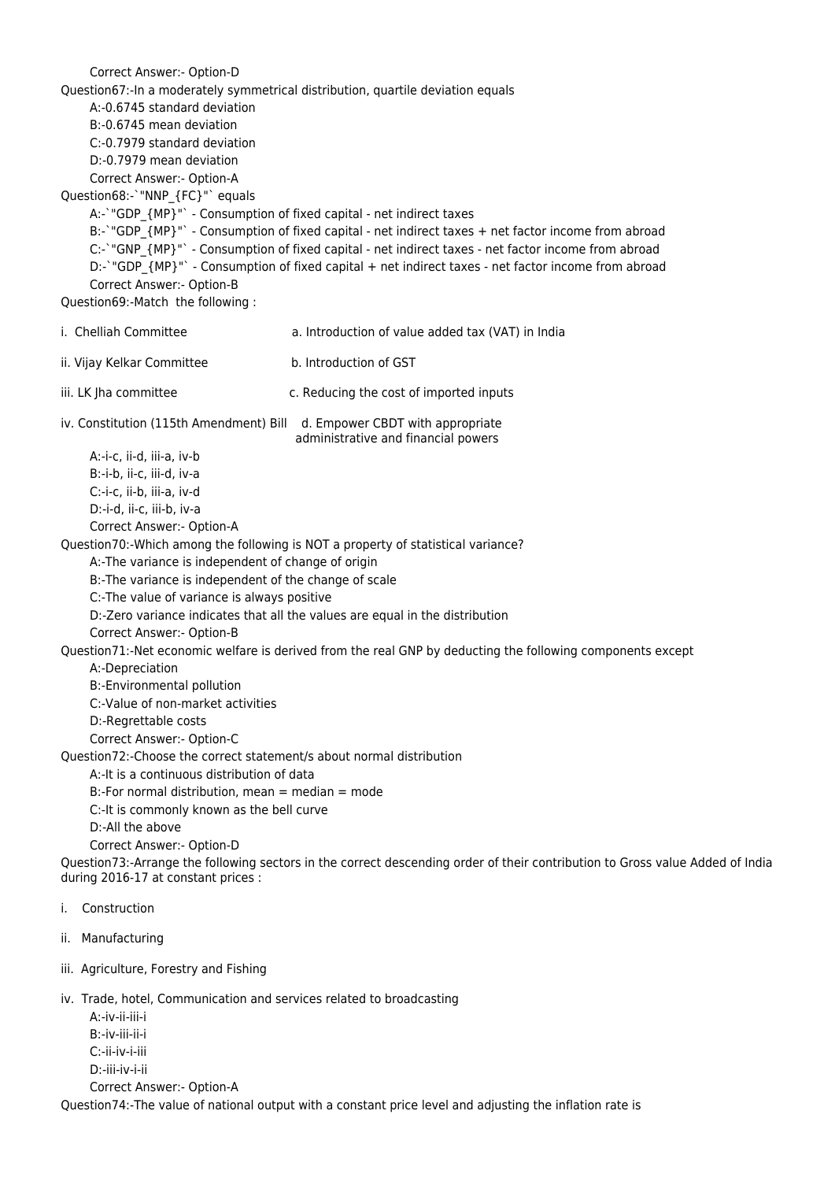Correct Answer:- Option-D Question67:-In a moderately symmetrical distribution, quartile deviation equals A:-0.6745 standard deviation B:-0.6745 mean deviation C:-0.7979 standard deviation D:-0.7979 mean deviation Correct Answer:- Option-A Question68:-`"NNP\_{FC}"` equals A:-`"GDP {MP}"` - Consumption of fixed capital - net indirect taxes B:-`"GDP {MP}"` - Consumption of fixed capital - net indirect taxes + net factor income from abroad C:-`"GNP\_{MP}"` - Consumption of fixed capital - net indirect taxes - net factor income from abroad D:-'"GDP {MP}"` - Consumption of fixed capital + net indirect taxes - net factor income from abroad Correct Answer:- Option-B Question69:-Match the following : i. Chelliah Committee a. Introduction of value added tax (VAT) in India ii. Vijay Kelkar Committee b. Introduction of GST iii. LK Jha committee c. Reducing the cost of imported inputs iv. Constitution (115th Amendment) Bill d. Empower CBDT with appropriate administrative and financial powers A:-i-c, ii-d, iii-a, iv-b B:-i-b, ii-c, iii-d, iv-a C:-i-c, ii-b, iii-a, iv-d D:-i-d, ii-c, iii-b, iv-a Correct Answer:- Option-A Question70:-Which among the following is NOT a property of statistical variance? A:-The variance is independent of change of origin B:-The variance is independent of the change of scale C:-The value of variance is always positive D:-Zero variance indicates that all the values are equal in the distribution Correct Answer:- Option-B Question71:-Net economic welfare is derived from the real GNP by deducting the following components except A:-Depreciation B:-Environmental pollution C:-Value of non-market activities D:-Regrettable costs Correct Answer:- Option-C Question72:-Choose the correct statement/s about normal distribution A:-It is a continuous distribution of data  $B$ :-For normal distribution, mean  $=$  median  $=$  mode C:-It is commonly known as the bell curve D:-All the above Correct Answer:- Option-D Question73:-Arrange the following sectors in the correct descending order of their contribution to Gross value Added of India during 2016-17 at constant prices : i. Construction ii. Manufacturing iii. Agriculture, Forestry and Fishing iv. Trade, hotel, Communication and services related to broadcasting A:-iv-ii-iii-i B:-iv-iii-ii-i C:-ii-iv-i-iii D:-iii-iv-i-ii Correct Answer:- Option-A

Question74:-The value of national output with a constant price level and adjusting the inflation rate is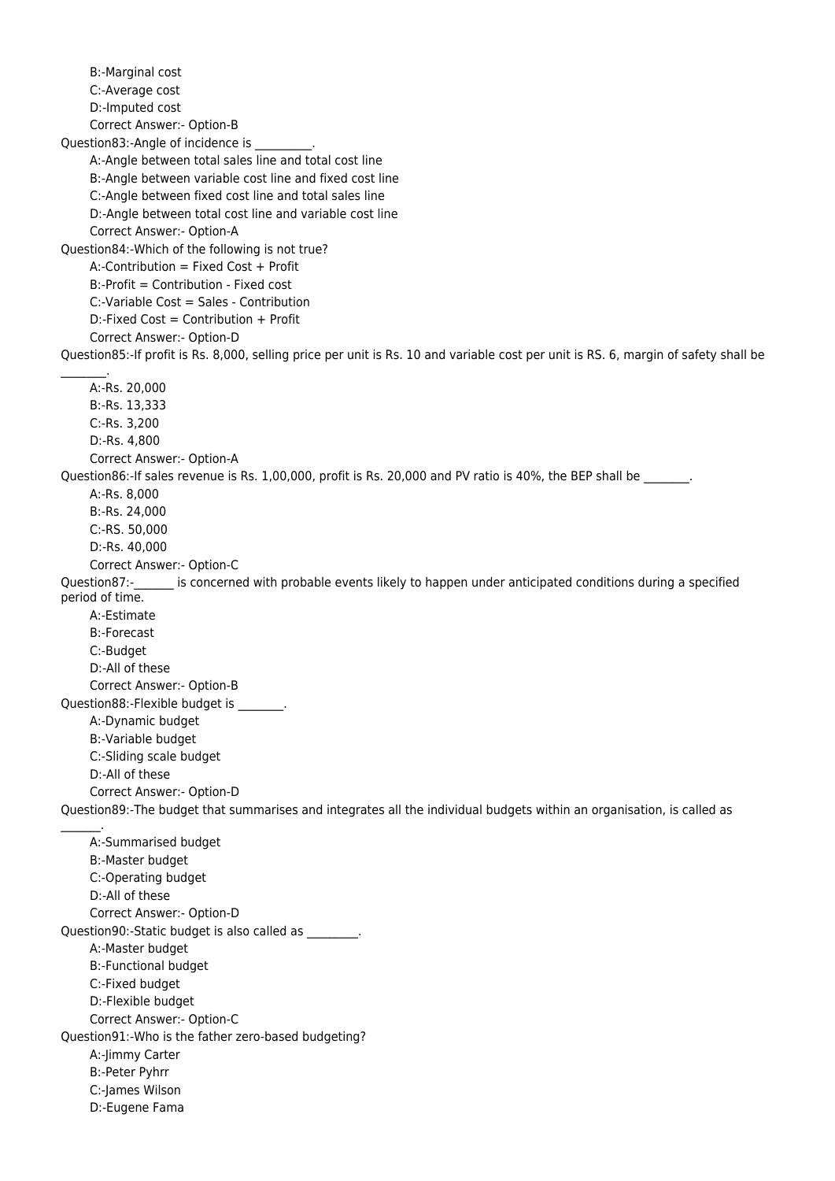B:-Marginal cost C:-Average cost D:-Imputed cost Correct Answer:- Option-B Question83:-Angle of incidence is \_\_\_\_\_\_ A:-Angle between total sales line and total cost line B:-Angle between variable cost line and fixed cost line C:-Angle between fixed cost line and total sales line D:-Angle between total cost line and variable cost line Correct Answer:- Option-A Question84:-Which of the following is not true? A:-Contribution = Fixed Cost + Profit B:-Profit = Contribution - Fixed cost C:-Variable Cost = Sales - Contribution  $D$ :-Fixed Cost = Contribution + Profit Correct Answer:- Option-D Question85:-If profit is Rs. 8,000, selling price per unit is Rs. 10 and variable cost per unit is RS. 6, margin of safety shall be  $\sim$  A:-Rs. 20,000 B:-Rs. 13,333 C:-Rs. 3,200 D:-Rs. 4,800 Correct Answer:- Option-A Question86:-If sales revenue is Rs. 1,00,000, profit is Rs. 20,000 and PV ratio is 40%, the BEP shall be \_\_\_\_\_\_ A:-Rs. 8,000 B:-Rs. 24,000 C:-RS. 50,000 D:-Rs. 40,000 Correct Answer:- Option-C Question87:- is concerned with probable events likely to happen under anticipated conditions during a specified period of time. A:-Estimate B:-Forecast C:-Budget D:-All of these Correct Answer:- Option-B Question88:-Flexible budget is \_\_\_\_\_\_\_\_. A:-Dynamic budget B:-Variable budget C:-Sliding scale budget D:-All of these Correct Answer:- Option-D Question89:-The budget that summarises and integrates all the individual budgets within an organisation, is called as  $\frac{1}{2}$  A:-Summarised budget B:-Master budget C:-Operating budget D:-All of these Correct Answer:- Option-D Question90:-Static budget is also called as \_\_\_\_\_\_\_\_\_. A:-Master budget B:-Functional budget C:-Fixed budget D:-Flexible budget Correct Answer:- Option-C Question91:-Who is the father zero-based budgeting? A:-Jimmy Carter B:-Peter Pyhrr C:-James Wilson D:-Eugene Fama